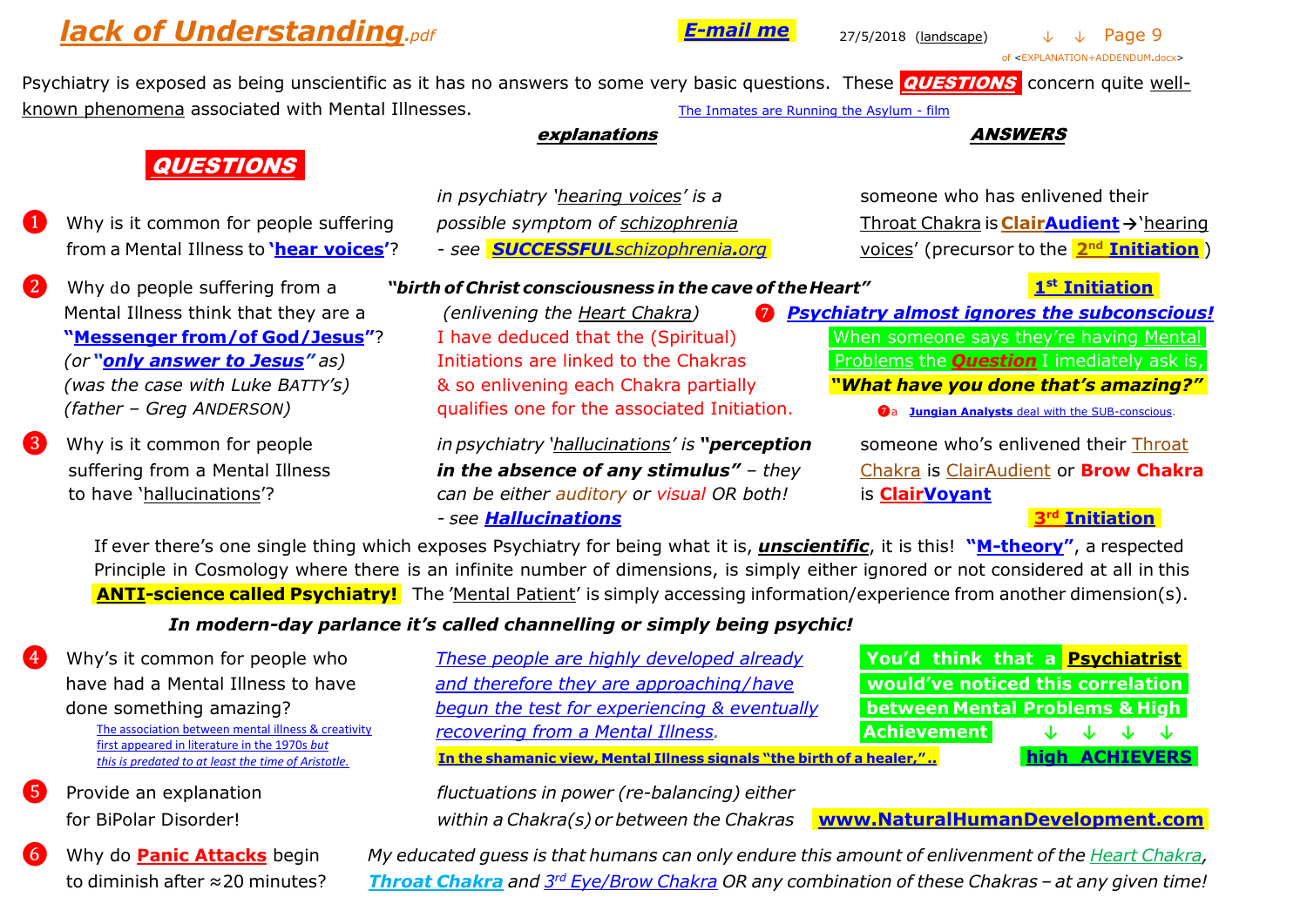# *lack of Understanding<sub>.pdf</sub> 27/5/2018* (landscape) ↓ ↓ Page 9

.*[E-mail me](mailto:John%20PINK%20-%20short-term%20Psychiatry%20Survivor%20%3cpinkii%20[at]%20aapt.net.au%3e?subject=inquiry%20about%20Theosophy)*.

of <EXPLANATION+ADDENDUM**.**docx>

Psychiatry is exposed as being unscientific as it has no answers to some very basic questions. These **QUESTIONS** concern quite well-known phenomena associated with Mental Illnesses. The [Inmates are Running the Asylum -](https://www.youtube.com/watch?v=bGoVljuErc4) film

#### *explanations* ANSWERS

## **.**QUESTIONS**..**

- ..… from a Mental Illness to **'[hear voices](http://www.mind.org.uk/information-support/types-of-mental-health-problems/hearing-voices/#.VTJ3__BPhOg)'**? *- see [.SUCCESSFUL](http://www.successfulschizophrenia.org/)schizophrenia.org.* voices' (precursor to the **.[2](http://www.lucistrust.org/en/books/ponder_on_this/ponder_online/contents/part_2/090_094)**
- 
- 
- *in psychiatry 'hearing voices' is a someone who has enlivened their*
- 

❶ Why is it common for people suffering *possible symptom of schizophrenia* Throat Chakra is **[ClairAudient](http://healing.about.com/od/intuition/a/clairaudience-clairvoyance-claircognizant-clairsentient.htm) →**'hearing **voices'** (precursor to the **2<sup>nd</sup> [Initiation](http://www.lucistrust.org/en/books/ponder_on_this/ponder_online/contents/part_2/090_094)**)

❷ Why do people suffering from a *"birth of Christ consciousness in the cave of theHeart"* **.1**

 *(was the case with Luke BATTY's)* & so enlivening each Chakra partially .*"What have you done that's amazing?". (father – Greg ANDERSON)* qualifies one for the associated Initiation. <sup>❼</sup>a **Jungian Analysts** [deal with the SUB-conscious.](http://www.anzsja.org.au/)

❸ Why is it common for people *in psychiatry 'hallucinations' is "perception* someone who's enlivened their [Throat](http://www.lucistrust.org/en/books/ponder_on_this/ponder_online/contents/part_2/090_094)  suffering from a Mental Illness *in the absence of any stimulus" – they* [Chakra](http://www.lucistrust.org/en/books/ponder_on_this/ponder_online/contents/part_2/090_094) is [ClairAudient](http://psychiclibrary.com/beyondBooks/clairaudience) or **Brow Chakra** to have 'hallucinations'? *can be either auditory or visual OR both!* is **[ClairVoyant](https://en.wikipedia.org/wiki/Clairvoyance)** *- see [Hallucinations](http://brainblogger.com/2015/05/22/are-we-all-schizophrenic-part-ii-hallucinations)* **[.3](http://www.share-international.org/archives/agelesswisdom/the_joy/33third.html)**

# **1st Initiation**

- Mental Illness think that they are a *(enlivening the Heart Chakra)* ❼ *[Psychiatry almost ignores the subconscious!](http://www.new-holistic-medicine.com/understanding-the-subconscious-mind.html)* **"[Messenger](http://www.huffingtonpost.com/2012/10/08/roberto-laudisio-curti-death_n_1949298.html) from/of God/Jesus"**? I have deduced that the (Spiritual) .When someone says they're having Mental. *(or* "**[only answer to Jesus](http://www.sbs.com.au/news/article/2014/10/23/batty-dad-was-bad-not-mad-officer)**" as) Initiations are linked to the Chakras ... Problems the **Question** I imediately ask is,
	- -

### **rd [Initiation.](http://www.share-international.org/archives/agelesswisdom/the_joy/33third.html)**

 If ever there's one single thing which exposes Psychiatry for being what it is, *unscientific*, it is this! **"[M-theory](http://physicsworld.com/cws/article/multimedia/2013/may/17/what-is-m-theory)"**, a respected Principle in Cosmology where there is an infinite number of dimensions, is simply either ignored or not considered at all in this … .**.ANTI-science.called.Psychiatry!.** The 'Mental Patient' is simply accessing information/experience from another dimension(s).

## *In modern-day parlance it's called channelling or simply being psychic!*

*to diminish after ≈20 minutes?* 

| $\overline{4}$ | Why's it common for people who                                                                      | These people are highly developed already                             | You'd think that a Psychiatrist           |                       |  |  |
|----------------|-----------------------------------------------------------------------------------------------------|-----------------------------------------------------------------------|-------------------------------------------|-----------------------|--|--|
|                | have had a Mental Illness to have                                                                   | and therefore they are approaching/have                               | would've noticed this correlation         |                       |  |  |
|                | done something amazing?                                                                             | begun the test for experiencing & eventually                          | <b>between Mental Problems &amp; High</b> |                       |  |  |
|                | The association between mental illness & creativity                                                 | recovering from a Mental Illness.                                     | <b>Achievement</b>                        | <b>July July July</b> |  |  |
|                | first appeared in literature in the 1970s but<br>this is predated to at least the time of Aristotle | In the shamanic view, Mental Illness signals "the birth of a healer," |                                           | high ACHIEVERS        |  |  |

❺ Provide an explanation *fluctuations in power (re-balancing) either*

for BiPolar Disorder! *within a Chakra(s) or between the Chakras* **[.www.NaturalHumanDevelopment.com](http://www.naturalhumandevelopment.com/).**

Why do **Panic Attacks** begin My educated guess is that humans can only endure this amount of enlivenment of the Heart [Chakra,](http://www.naturalhumandevelopment.com/Introduction_files/01-heart.gif) *rd [Eye/Brow](http://www.naturalhumandevelopment.com/Introduction_files/03-brow.gif) Chakra OR any combination of these Chakras – at any given time!*